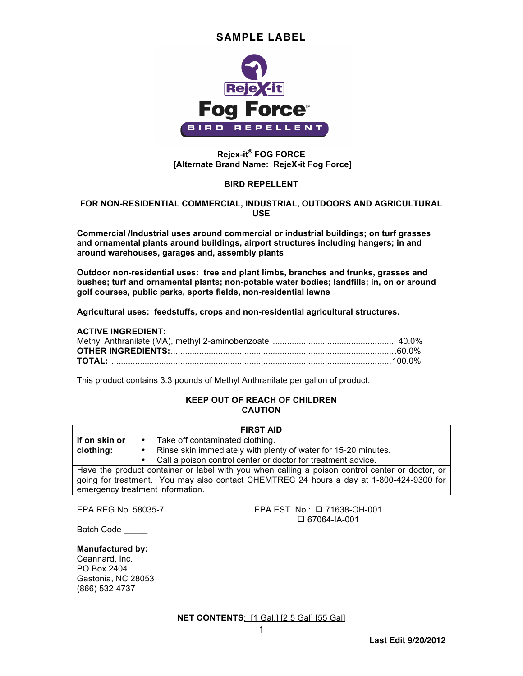

### **Rejex-it® FOG FORCE [Alternate Brand Name: RejeX-it Fog Force]**

#### **BIRD REPELLENT**

#### **FOR NON-RESIDENTIAL COMMERCIAL, INDUSTRIAL, OUTDOORS AND AGRICULTURAL USE**

**Commercial /Industrial uses around commercial or industrial buildings; on turf grasses and ornamental plants around buildings, airport structures including hangers; in and around warehouses, garages and, assembly plants**

**Outdoor non-residential uses: tree and plant limbs, branches and trunks, grasses and bushes; turf and ornamental plants; non-potable water bodies; landfills; in, on or around golf courses, public parks, sports fields, non-residential lawns**

**Agricultural uses: feedstuffs, crops and non-residential agricultural structures.** 

#### **ACTIVE INGREDIENT:**

This product contains 3.3 pounds of Methyl Anthranilate per gallon of product.

#### **KEEP OUT OF REACH OF CHILDREN CAUTION**

| <b>FIRST AID</b>                                                                                |           |                                                                |
|-------------------------------------------------------------------------------------------------|-----------|----------------------------------------------------------------|
| If on skin or                                                                                   | $\bullet$ | Take off contaminated clothing.                                |
| clothing:                                                                                       | $\bullet$ | Rinse skin immediately with plenty of water for 15-20 minutes. |
|                                                                                                 | $\bullet$ | Call a poison control center or doctor for treatment advice.   |
| Have the product container or label with you when calling a poison control center or doctor, or |           |                                                                |
| going for treatment. You may also contact CHEMTREC 24 hours a day at 1-800-424-9300 for         |           |                                                                |
| emergency treatment information.                                                                |           |                                                                |

EPA REG No. 58035-7 EPA EST. No.: 71638-OH-001 67064-IA-001

Batch Code

#### **Manufactured by:**

Ceannard, Inc. PO Box 2404 Gastonia, NC 28053 (866) 532-4737

**NET CONTENTS**: [1 Gal.] [2.5 Gal] [55 Gal]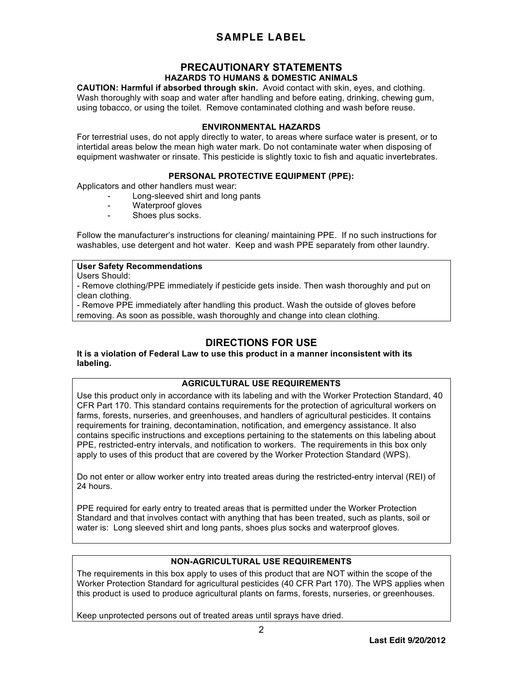## **PRECAUTIONARY STATEMENTS HAZARDS TO HUMANS & DOMESTIC ANIMALS**

**CAUTION: Harmful if absorbed through skin.** Avoid contact with skin, eyes, and clothing. Wash thoroughly with soap and water after handling and before eating, drinking, chewing gum, using tobacco, or using the toilet. Remove contaminated clothing and wash before reuse.

### **ENVIRONMENTAL HAZARDS**

For terrestrial uses, do not apply directly to water, to areas where surface water is present, or to intertidal areas below the mean high water mark. Do not contaminate water when disposing of equipment washwater or rinsate. This pesticide is slightly toxic to fish and aquatic invertebrates.

### **PERSONAL PROTECTIVE EQUIPMENT (PPE):**

Applicators and other handlers must wear:

- Long-sleeved shirt and long pants
- Waterproof gloves
- Shoes plus socks.

Follow the manufacturer's instructions for cleaning/ maintaining PPE. If no such instructions for washables, use detergent and hot water. Keep and wash PPE separately from other laundry.

### **User Safety Recommendations**

Users Should:

- Remove clothing/PPE immediately if pesticide gets inside. Then wash thoroughly and put on clean clothing.

- Remove PPE immediately after handling this product. Wash the outside of gloves before removing. As soon as possible, wash thoroughly and change into clean clothing.

# **DIRECTIONS FOR USE**

**It is a violation of Federal Law to use this product in a manner inconsistent with its labeling.**

#### **AGRICULTURAL USE REQUIREMENTS**

Use this product only in accordance with its labeling and with the Worker Protection Standard, 40 CFR Part 170. This standard contains requirements for the protection of agricultural workers on farms, forests, nurseries, and greenhouses, and handlers of agricultural pesticides. It contains requirements for training, decontamination, notification, and emergency assistance. It also contains specific instructions and exceptions pertaining to the statements on this labeling about PPE, restricted-entry intervals, and notification to workers. The requirements in this box only apply to uses of this product that are covered by the Worker Protection Standard (WPS).

Do not enter or allow worker entry into treated areas during the restricted-entry interval (REI) of 24 hours.

PPE required for early entry to treated areas that is permitted under the Worker Protection Standard and that involves contact with anything that has been treated, such as plants, soil or water is: Long sleeved shirt and long pants, shoes plus socks and waterproof gloves.

## **NON-AGRICULTURAL USE REQUIREMENTS**

The requirements in this box apply to uses of this product that are NOT within the scope of the Worker Protection Standard for agricultural pesticides (40 CFR Part 170). The WPS applies when this product is used to produce agricultural plants on farms, forests, nurseries, or greenhouses.

Keep unprotected persons out of treated areas until sprays have dried.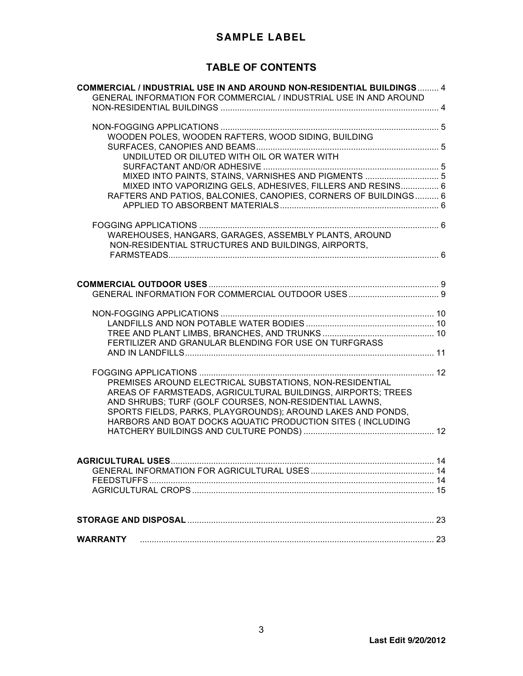# **TABLE OF CONTENTS**

| <b>COMMERCIAL / INDUSTRIAL USE IN AND AROUND NON-RESIDENTIAL BUILDINGS 4</b><br>GENERAL INFORMATION FOR COMMERCIAL / INDUSTRIAL USE IN AND AROUND |  |
|---------------------------------------------------------------------------------------------------------------------------------------------------|--|
|                                                                                                                                                   |  |
|                                                                                                                                                   |  |
| WOODEN POLES, WOODEN RAFTERS, WOOD SIDING, BUILDING                                                                                               |  |
|                                                                                                                                                   |  |
| UNDILUTED OR DILUTED WITH OIL OR WATER WITH                                                                                                       |  |
|                                                                                                                                                   |  |
| MIXED INTO PAINTS, STAINS, VARNISHES AND PIGMENTS  5                                                                                              |  |
| MIXED INTO VAPORIZING GELS, ADHESIVES, FILLERS AND RESINS 6                                                                                       |  |
| RAFTERS AND PATIOS, BALCONIES, CANOPIES, CORNERS OF BUILDINGS 6                                                                                   |  |
|                                                                                                                                                   |  |
|                                                                                                                                                   |  |
| WAREHOUSES, HANGARS, GARAGES, ASSEMBLY PLANTS, AROUND                                                                                             |  |
| NON-RESIDENTIAL STRUCTURES AND BUILDINGS, AIRPORTS,                                                                                               |  |
|                                                                                                                                                   |  |
|                                                                                                                                                   |  |
|                                                                                                                                                   |  |
|                                                                                                                                                   |  |
|                                                                                                                                                   |  |
|                                                                                                                                                   |  |
|                                                                                                                                                   |  |
|                                                                                                                                                   |  |
| FERTILIZER AND GRANULAR BLENDING FOR USE ON TURFGRASS                                                                                             |  |
|                                                                                                                                                   |  |
|                                                                                                                                                   |  |
|                                                                                                                                                   |  |
| PREMISES AROUND ELECTRICAL SUBSTATIONS, NON-RESIDENTIAL                                                                                           |  |
| AREAS OF FARMSTEADS, AGRICULTURAL BUILDINGS, AIRPORTS; TREES                                                                                      |  |
| AND SHRUBS; TURF (GOLF COURSES, NON-RESIDENTIAL LAWNS,<br>SPORTS FIELDS, PARKS, PLAYGROUNDS); AROUND LAKES AND PONDS,                             |  |
| HARBORS AND BOAT DOCKS AQUATIC PRODUCTION SITES (INCLUDING                                                                                        |  |
|                                                                                                                                                   |  |
|                                                                                                                                                   |  |
|                                                                                                                                                   |  |
|                                                                                                                                                   |  |
|                                                                                                                                                   |  |
|                                                                                                                                                   |  |
|                                                                                                                                                   |  |
|                                                                                                                                                   |  |
|                                                                                                                                                   |  |
| <b>WARRANTY</b>                                                                                                                                   |  |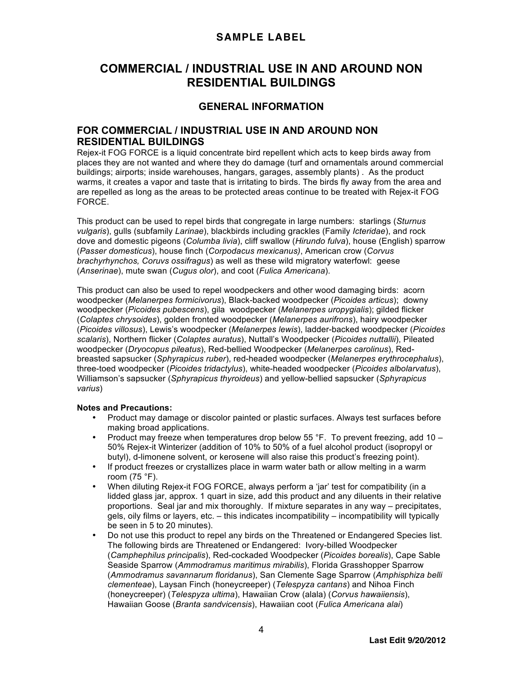# **COMMERCIAL / INDUSTRIAL USE IN AND AROUND NON RESIDENTIAL BUILDINGS**

# **GENERAL INFORMATION**

## **FOR COMMERCIAL / INDUSTRIAL USE IN AND AROUND NON RESIDENTIAL BUILDINGS**

Rejex-it FOG FORCE is a liquid concentrate bird repellent which acts to keep birds away from places they are not wanted and where they do damage (turf and ornamentals around commercial buildings; airports; inside warehouses, hangars, garages, assembly plants) . As the product warms, it creates a vapor and taste that is irritating to birds. The birds fly away from the area and are repelled as long as the areas to be protected areas continue to be treated with Rejex-it FOG FORCE.

This product can be used to repel birds that congregate in large numbers: starlings (*Sturnus vulgaris*), gulls (subfamily *Larinae*), blackbirds including grackles (Family *Icteridae*), and rock dove and domestic pigeons (*Columba livia*), cliff swallow (*Hirundo fulva*), house (English) sparrow (*Passer domesticus*), house finch (*Corpodacus mexicanus)*, American crow (*Corvus brachyrhynchos, Coruvs ossifragus*) as well as these wild migratory waterfowl: geese (*Anserinae*), mute swan (*Cugus olor*), and coot (*Fulica Americana*).

This product can also be used to repel woodpeckers and other wood damaging birds: acorn woodpecker (*Melanerpes formicivorus*), Black-backed woodpecker (*Picoides articus*); downy woodpecker (*Picoides pubescens*), gila woodpecker (*Melanerpes uropygialis*); gilded flicker (*Colaptes chrysoides*), golden fronted woodpecker (*Melanerpes aurifrons*), hairy woodpecker (*Picoides villosus*), Lewis's woodpecker (*Melanerpes lewis*), ladder-backed woodpecker (*Picoides scalaris*), Northern flicker (*Colaptes auratus*), Nuttall's Woodpecker (*Picoides nuttallii*), Pileated woodpecker (*Dryocopus pileatus*), Red-bellied Woodpecker (*Melanerpes carolinus*), Redbreasted sapsucker (*Sphyrapicus ruber*), red-headed woodpecker (*Melanerpes erythrocephalus*), three-toed woodpecker (*Picoides tridactylus*), white-headed woodpecker (*Picoides albolarvatus*), Williamson's sapsucker (*Sphyrapicus thyroideus*) and yellow-bellied sapsucker (*Sphyrapicus varius*)

#### **Notes and Precautions:**

- Product may damage or discolor painted or plastic surfaces. Always test surfaces before making broad applications.
- Product may freeze when temperatures drop below 55 °F. To prevent freezing, add 10 50% Rejex-it Winterizer (addition of 10% to 50% of a fuel alcohol product (isopropyl or butyl), d-limonene solvent, or kerosene will also raise this product's freezing point).
- If product freezes or crystallizes place in warm water bath or allow melting in a warm room (75 °F).
- When diluting Rejex-it FOG FORCE, always perform a 'jar' test for compatibility (in a lidded glass jar, approx. 1 quart in size, add this product and any diluents in their relative proportions. Seal jar and mix thoroughly. If mixture separates in any way – precipitates, gels, oily films or layers, etc. – this indicates incompatibility – incompatibility will typically be seen in 5 to 20 minutes).
- Do not use this product to repel any birds on the Threatened or Endangered Species list. The following birds are Threatened or Endangered: Ivory-billed Woodpecker (*Camphephilus principalis*), Red-cockaded Woodpecker (*Picoides borealis*), Cape Sable Seaside Sparrow (*Ammodramus maritimus mirabilis*), Florida Grasshopper Sparrow (*Ammodramus savannarum floridanus*), San Clemente Sage Sparrow (*Amphisphiza belli clementeae*), Laysan Finch (honeycreeper) (*Telespyza cantans*) and Nihoa Finch (honeycreeper) (*Telespyza ultima*), Hawaiian Crow (alala) (*Corvus hawaiiensis*), Hawaiian Goose (*Branta sandvicensis*), Hawaiian coot (*Fulica Americana alai*)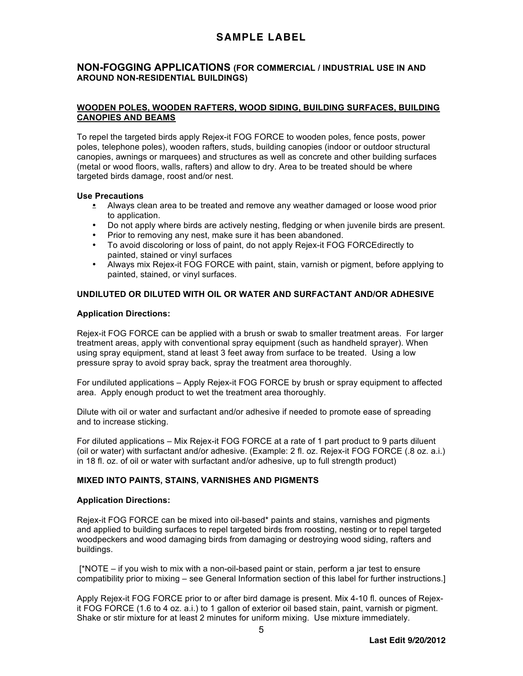## **NON-FOGGING APPLICATIONS (FOR COMMERCIAL / INDUSTRIAL USE IN AND AROUND NON-RESIDENTIAL BUILDINGS)**

### **WOODEN POLES, WOODEN RAFTERS, WOOD SIDING, BUILDING SURFACES, BUILDING CANOPIES AND BEAMS**

To repel the targeted birds apply Rejex-it FOG FORCE to wooden poles, fence posts, power poles, telephone poles), wooden rafters, studs, building canopies (indoor or outdoor structural canopies, awnings or marquees) and structures as well as concrete and other building surfaces (metal or wood floors, walls, rafters) and allow to dry. Area to be treated should be where targeted birds damage, roost and/or nest.

#### **Use Precautions**

- Always clean area to be treated and remove any weather damaged or loose wood prior to application.
- Do not apply where birds are actively nesting, fledging or when juvenile birds are present.
- Prior to removing any nest, make sure it has been abandoned.
- To avoid discoloring or loss of paint, do not apply Rejex-it FOG FORCEdirectly to painted, stained or vinyl surfaces
- Always mix Rejex-it FOG FORCE with paint, stain, varnish or pigment, before applying to painted, stained, or vinyl surfaces.

### **UNDILUTED OR DILUTED WITH OIL OR WATER AND SURFACTANT AND/OR ADHESIVE**

#### **Application Directions:**

Rejex-it FOG FORCE can be applied with a brush or swab to smaller treatment areas. For larger treatment areas, apply with conventional spray equipment (such as handheld sprayer). When using spray equipment, stand at least 3 feet away from surface to be treated. Using a low pressure spray to avoid spray back, spray the treatment area thoroughly.

For undiluted applications – Apply Rejex-it FOG FORCE by brush or spray equipment to affected area. Apply enough product to wet the treatment area thoroughly.

Dilute with oil or water and surfactant and/or adhesive if needed to promote ease of spreading and to increase sticking.

For diluted applications – Mix Rejex-it FOG FORCE at a rate of 1 part product to 9 parts diluent (oil or water) with surfactant and/or adhesive. (Example: 2 fl. oz. Rejex-it FOG FORCE (.8 oz. a.i.) in 18 fl. oz. of oil or water with surfactant and/or adhesive, up to full strength product)

#### **MIXED INTO PAINTS, STAINS, VARNISHES AND PIGMENTS**

#### **Application Directions:**

Rejex-it FOG FORCE can be mixed into oil-based\* paints and stains, varnishes and pigments and applied to building surfaces to repel targeted birds from roosting, nesting or to repel targeted woodpeckers and wood damaging birds from damaging or destroying wood siding, rafters and buildings.

[\*NOTE – if you wish to mix with a non-oil-based paint or stain, perform a jar test to ensure compatibility prior to mixing – see General Information section of this label for further instructions.]

Apply Rejex-it FOG FORCE prior to or after bird damage is present. Mix 4-10 fl. ounces of Rejexit FOG FORCE (1.6 to 4 oz. a.i.) to 1 gallon of exterior oil based stain, paint, varnish or pigment. Shake or stir mixture for at least 2 minutes for uniform mixing. Use mixture immediately.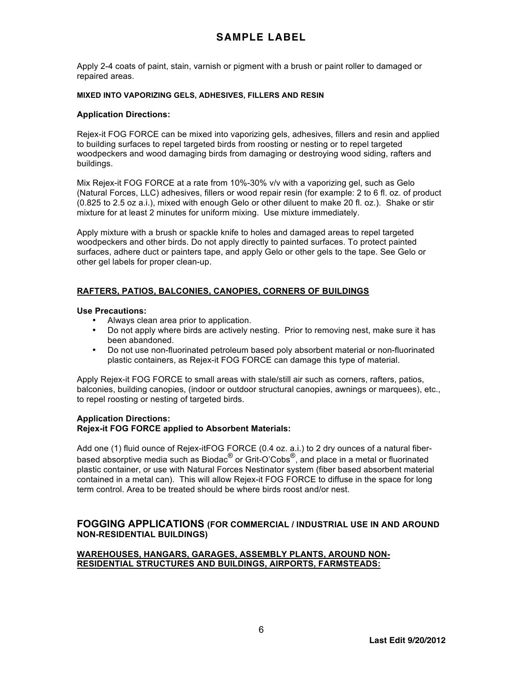Apply 2-4 coats of paint, stain, varnish or pigment with a brush or paint roller to damaged or repaired areas.

#### **MIXED INTO VAPORIZING GELS, ADHESIVES, FILLERS AND RESIN**

#### **Application Directions:**

Rejex-it FOG FORCE can be mixed into vaporizing gels, adhesives, fillers and resin and applied to building surfaces to repel targeted birds from roosting or nesting or to repel targeted woodpeckers and wood damaging birds from damaging or destroying wood siding, rafters and buildings.

Mix Rejex-it FOG FORCE at a rate from 10%-30% v/v with a vaporizing gel, such as Gelo (Natural Forces, LLC) adhesives, fillers or wood repair resin (for example: 2 to 6 fl. oz. of product (0.825 to 2.5 oz a.i.), mixed with enough Gelo or other diluent to make 20 fl. oz.). Shake or stir mixture for at least 2 minutes for uniform mixing. Use mixture immediately.

Apply mixture with a brush or spackle knife to holes and damaged areas to repel targeted woodpeckers and other birds. Do not apply directly to painted surfaces. To protect painted surfaces, adhere duct or painters tape, and apply Gelo or other gels to the tape. See Gelo or other gel labels for proper clean-up.

### **RAFTERS, PATIOS, BALCONIES, CANOPIES, CORNERS OF BUILDINGS**

#### **Use Precautions:**

- Always clean area prior to application.
- Do not apply where birds are actively nesting. Prior to removing nest, make sure it has been abandoned.
- Do not use non-fluorinated petroleum based poly absorbent material or non-fluorinated plastic containers, as Rejex-it FOG FORCE can damage this type of material.

Apply Rejex-it FOG FORCE to small areas with stale/still air such as corners, rafters, patios, balconies, building canopies, (indoor or outdoor structural canopies, awnings or marquees), etc., to repel roosting or nesting of targeted birds.

#### **Application Directions: Rejex-it FOG FORCE applied to Absorbent Materials:**

Add one (1) fluid ounce of Rejex-itFOG FORCE (0.4 oz. a.i.) to 2 dry ounces of a natural fiberbased absorptive media such as Biodac<sup>®</sup> or Grit-O'Cobs<sup>®</sup>, and place in a metal or fluorinated plastic container, or use with Natural Forces Nestinator system (fiber based absorbent material contained in a metal can). This will allow Rejex-it FOG FORCE to diffuse in the space for long term control. Area to be treated should be where birds roost and/or nest.

## **FOGGING APPLICATIONS (FOR COMMERCIAL / INDUSTRIAL USE IN AND AROUND NON-RESIDENTIAL BUILDINGS)**

#### **WAREHOUSES, HANGARS, GARAGES, ASSEMBLY PLANTS, AROUND NON-RESIDENTIAL STRUCTURES AND BUILDINGS, AIRPORTS, FARMSTEADS:**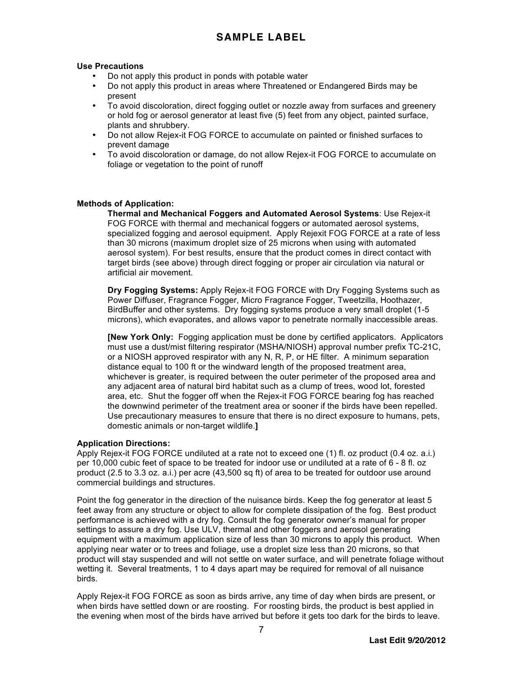### **Use Precautions**

- Do not apply this product in ponds with potable water
- Do not apply this product in areas where Threatened or Endangered Birds may be present
- To avoid discoloration, direct fogging outlet or nozzle away from surfaces and greenery or hold fog or aerosol generator at least five (5) feet from any object, painted surface, plants and shrubbery.
- Do not allow Rejex-it FOG FORCE to accumulate on painted or finished surfaces to prevent damage
- To avoid discoloration or damage, do not allow Rejex-it FOG FORCE to accumulate on foliage or vegetation to the point of runoff

### **Methods of Application:**

**Thermal and Mechanical Foggers and Automated Aerosol Systems**: Use Rejex-it FOG FORCE with thermal and mechanical foggers or automated aerosol systems, specialized fogging and aerosol equipment. Apply Rejexit FOG FORCE at a rate of less than 30 microns (maximum droplet size of 25 microns when using with automated aerosol system). For best results, ensure that the product comes in direct contact with target birds (see above) through direct fogging or proper air circulation via natural or artificial air movement.

**Dry Fogging Systems:** Apply Rejex-it FOG FORCE with Dry Fogging Systems such as Power Diffuser, Fragrance Fogger, Micro Fragrance Fogger, Tweetzilla, Hoothazer, BirdBuffer and other systems. Dry fogging systems produce a very small droplet (1-5 microns), which evaporates, and allows vapor to penetrate normally inaccessible areas.

**[New York Only:** Fogging application must be done by certified applicators. Applicators must use a dust/mist filtering respirator (MSHA/NIOSH) approval number prefix TC-21C, or a NIOSH approved respirator with any N, R, P, or HE filter. A minimum separation distance equal to 100 ft or the windward length of the proposed treatment area, whichever is greater, is required between the outer perimeter of the proposed area and any adjacent area of natural bird habitat such as a clump of trees, wood lot, forested area, etc. Shut the fogger off when the Rejex-it FOG FORCE bearing fog has reached the downwind perimeter of the treatment area or sooner if the birds have been repelled. Use precautionary measures to ensure that there is no direct exposure to humans, pets, domestic animals or non-target wildlife.**]**

## **Application Directions:**

Apply Rejex-it FOG FORCE undiluted at a rate not to exceed one (1) fl. oz product (0.4 oz. a.i.) per 10,000 cubic feet of space to be treated for indoor use or undiluted at a rate of 6 - 8 fl. oz product (2.5 to 3.3 oz. a.i.) per acre (43,500 sq ft) of area to be treated for outdoor use around commercial buildings and structures.

Point the fog generator in the direction of the nuisance birds. Keep the fog generator at least 5 feet away from any structure or object to allow for complete dissipation of the fog. Best product performance is achieved with a dry fog. Consult the fog generator owner's manual for proper settings to assure a dry fog. Use ULV, thermal and other foggers and aerosol generating equipment with a maximum application size of less than 30 microns to apply this product. When applying near water or to trees and foliage, use a droplet size less than 20 microns, so that product will stay suspended and will not settle on water surface, and will penetrate foliage without wetting it. Several treatments, 1 to 4 days apart may be required for removal of all nuisance birds.

Apply Rejex-it FOG FORCE as soon as birds arrive, any time of day when birds are present, or when birds have settled down or are roosting. For roosting birds, the product is best applied in the evening when most of the birds have arrived but before it gets too dark for the birds to leave.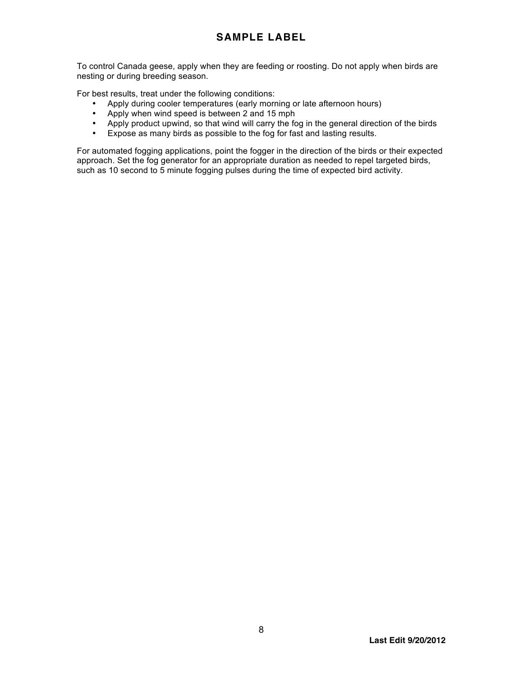To control Canada geese, apply when they are feeding or roosting. Do not apply when birds are nesting or during breeding season.

For best results, treat under the following conditions:

- Apply during cooler temperatures (early morning or late afternoon hours)
- Apply when wind speed is between 2 and 15 mph
- Apply product upwind, so that wind will carry the fog in the general direction of the birds
- Expose as many birds as possible to the fog for fast and lasting results.

For automated fogging applications, point the fogger in the direction of the birds or their expected approach. Set the fog generator for an appropriate duration as needed to repel targeted birds, such as 10 second to 5 minute fogging pulses during the time of expected bird activity.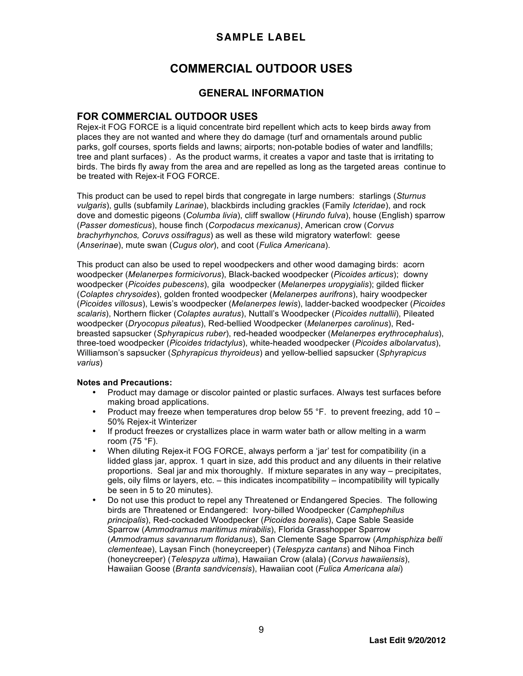# **COMMERCIAL OUTDOOR USES**

## **GENERAL INFORMATION**

## **FOR COMMERCIAL OUTDOOR USES**

Rejex-it FOG FORCE is a liquid concentrate bird repellent which acts to keep birds away from places they are not wanted and where they do damage (turf and ornamentals around public parks, golf courses, sports fields and lawns; airports; non-potable bodies of water and landfills; tree and plant surfaces) . As the product warms, it creates a vapor and taste that is irritating to birds. The birds fly away from the area and are repelled as long as the targeted areas continue to be treated with Rejex-it FOG FORCE.

This product can be used to repel birds that congregate in large numbers: starlings (*Sturnus vulgaris*), gulls (subfamily *Larinae*), blackbirds including grackles (Family *Icteridae*), and rock dove and domestic pigeons (*Columba livia*), cliff swallow (*Hirundo fulva*), house (English) sparrow (*Passer domesticus*), house finch (*Corpodacus mexicanus)*, American crow (*Corvus brachyrhynchos, Coruvs ossifragus*) as well as these wild migratory waterfowl: geese (*Anserinae*), mute swan (*Cugus olor*), and coot (*Fulica Americana*).

This product can also be used to repel woodpeckers and other wood damaging birds: acorn woodpecker (*Melanerpes formicivorus*), Black-backed woodpecker (*Picoides articus*); downy woodpecker (*Picoides pubescens*), gila woodpecker (*Melanerpes uropygialis*); gilded flicker (*Colaptes chrysoides*), golden fronted woodpecker (*Melanerpes aurifrons*), hairy woodpecker (*Picoides villosus*), Lewis's woodpecker (*Melanerpes lewis*), ladder-backed woodpecker (*Picoides scalaris*), Northern flicker (*Colaptes auratus*), Nuttall's Woodpecker (*Picoides nuttallii*), Pileated woodpecker (*Dryocopus pileatus*), Red-bellied Woodpecker (*Melanerpes carolinus*), Redbreasted sapsucker (*Sphyrapicus ruber*), red-headed woodpecker (*Melanerpes erythrocephalus*), three-toed woodpecker (*Picoides tridactylus*), white-headed woodpecker (*Picoides albolarvatus*), Williamson's sapsucker (*Sphyrapicus thyroideus*) and yellow-bellied sapsucker (*Sphyrapicus varius*)

#### **Notes and Precautions:**

- Product may damage or discolor painted or plastic surfaces. Always test surfaces before making broad applications.
- Product may freeze when temperatures drop below 55 °F. to prevent freezing, add 10 50% Rejex-it Winterizer
- If product freezes or crystallizes place in warm water bath or allow melting in a warm room (75 °F).
- When diluting Rejex-it FOG FORCE, always perform a 'jar' test for compatibility (in a lidded glass jar, approx. 1 quart in size, add this product and any diluents in their relative proportions. Seal jar and mix thoroughly. If mixture separates in any way – precipitates, gels, oily films or layers, etc. – this indicates incompatibility – incompatibility will typically be seen in 5 to 20 minutes).
- Do not use this product to repel any Threatened or Endangered Species. The following birds are Threatened or Endangered: Ivory-billed Woodpecker (*Camphephilus principalis*), Red-cockaded Woodpecker (*Picoides borealis*), Cape Sable Seaside Sparrow (*Ammodramus maritimus mirabilis*), Florida Grasshopper Sparrow (*Ammodramus savannarum floridanus*), San Clemente Sage Sparrow (*Amphisphiza belli clementeae*), Laysan Finch (honeycreeper) (*Telespyza cantans*) and Nihoa Finch (honeycreeper) (*Telespyza ultima*), Hawaiian Crow (alala) (*Corvus hawaiiensis*), Hawaiian Goose (*Branta sandvicensis*), Hawaiian coot (*Fulica Americana alai*)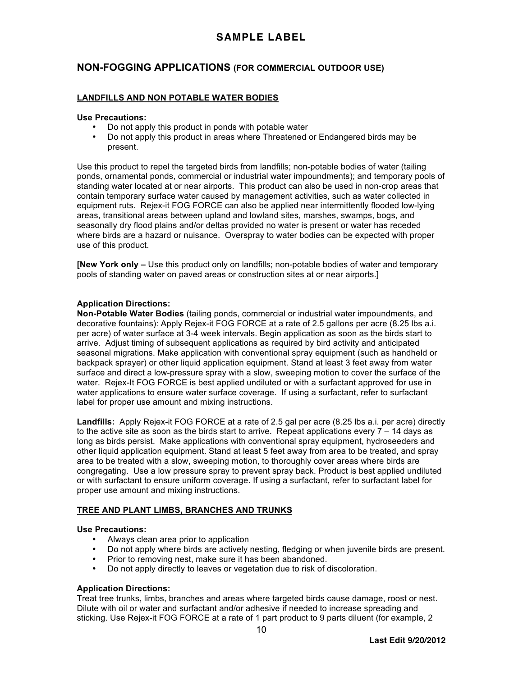## **NON-FOGGING APPLICATIONS (FOR COMMERCIAL OUTDOOR USE)**

### **LANDFILLS AND NON POTABLE WATER BODIES**

#### **Use Precautions:**

- Do not apply this product in ponds with potable water<br>• Do not apply this product in areas where Threatened
- Do not apply this product in areas where Threatened or Endangered birds may be present.

Use this product to repel the targeted birds from landfills; non-potable bodies of water (tailing ponds, ornamental ponds, commercial or industrial water impoundments); and temporary pools of standing water located at or near airports. This product can also be used in non-crop areas that contain temporary surface water caused by management activities, such as water collected in equipment ruts. Rejex-it FOG FORCE can also be applied near intermittently flooded low-lying areas, transitional areas between upland and lowland sites, marshes, swamps, bogs, and seasonally dry flood plains and/or deltas provided no water is present or water has receded where birds are a hazard or nuisance. Overspray to water bodies can be expected with proper use of this product.

**[New York only –** Use this product only on landfills; non-potable bodies of water and temporary pools of standing water on paved areas or construction sites at or near airports.]

#### **Application Directions:**

**Non-Potable Water Bodies** (tailing ponds, commercial or industrial water impoundments, and decorative fountains): Apply Rejex-it FOG FORCE at a rate of 2.5 gallons per acre (8.25 lbs a.i. per acre) of water surface at 3-4 week intervals. Begin application as soon as the birds start to arrive. Adjust timing of subsequent applications as required by bird activity and anticipated seasonal migrations. Make application with conventional spray equipment (such as handheld or backpack sprayer) or other liquid application equipment. Stand at least 3 feet away from water surface and direct a low-pressure spray with a slow, sweeping motion to cover the surface of the water. Rejex-It FOG FORCE is best applied undiluted or with a surfactant approved for use in water applications to ensure water surface coverage. If using a surfactant, refer to surfactant label for proper use amount and mixing instructions.

**Landfills:** Apply Rejex-it FOG FORCE at a rate of 2.5 gal per acre (8.25 lbs a.i. per acre) directly to the active site as soon as the birds start to arrive. Repeat applications every  $7 - 14$  days as long as birds persist. Make applications with conventional spray equipment, hydroseeders and other liquid application equipment. Stand at least 5 feet away from area to be treated, and spray area to be treated with a slow, sweeping motion, to thoroughly cover areas where birds are congregating. Use a low pressure spray to prevent spray back. Product is best applied undiluted or with surfactant to ensure uniform coverage. If using a surfactant, refer to surfactant label for proper use amount and mixing instructions.

#### **TREE AND PLANT LIMBS, BRANCHES AND TRUNKS**

#### **Use Precautions:**

- Always clean area prior to application
- Do not apply where birds are actively nesting, fledging or when juvenile birds are present.
- Prior to removing nest, make sure it has been abandoned.
- Do not apply directly to leaves or vegetation due to risk of discoloration.

### **Application Directions:**

Treat tree trunks, limbs, branches and areas where targeted birds cause damage, roost or nest. Dilute with oil or water and surfactant and/or adhesive if needed to increase spreading and sticking. Use Rejex-it FOG FORCE at a rate of 1 part product to 9 parts diluent (for example, 2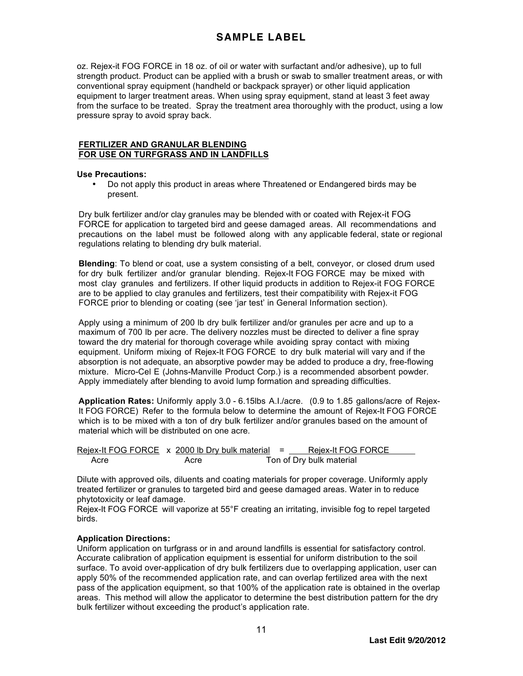oz. Rejex-it FOG FORCE in 18 oz. of oil or water with surfactant and/or adhesive), up to full strength product. Product can be applied with a brush or swab to smaller treatment areas, or with conventional spray equipment (handheld or backpack sprayer) or other liquid application equipment to larger treatment areas. When using spray equipment, stand at least 3 feet away from the surface to be treated. Spray the treatment area thoroughly with the product, using a low pressure spray to avoid spray back.

### **FERTILIZER AND GRANULAR BLENDING FOR USE ON TURFGRASS AND IN LANDFILLS**

### **Use Precautions:**

• Do not apply this product in areas where Threatened or Endangered birds may be present.

Dry bulk fertilizer and/or clay granules may be blended with or coated with Rejex-it FOG FORCE for application to targeted bird and geese damaged areas. All recommendations and precautions on the label must be followed along with any applicable federal, state or regional regulations relating to blending dry bulk material.

**Blending**: To blend or coat, use a system consisting of a belt, conveyor, or closed drum used for dry bulk fertilizer and/or granular blending. Rejex-It FOG FORCE may be mixed with most clay granules and fertilizers. If other liquid products in addition to Rejex-it FOG FORCE are to be applied to clay granules and fertilizers, test their compatibility with Rejex-it FOG FORCE prior to blending or coating (see 'jar test' in General Information section).

Apply using a minimum of 200 lb dry bulk fertilizer and/or granules per acre and up to a maximum of 700 lb per acre. The delivery nozzles must be directed to deliver a fine spray toward the dry material for thorough coverage while avoiding spray contact with mixing equipment. Uniform mixing of Rejex-It FOG FORCE to dry bulk material will vary and if the absorption is not adequate, an absorptive powder may be added to produce a dry, free-flowing mixture. Micro-Cel E (Johns-Manville Product Corp.) is a recommended absorbent powder. Apply immediately after blending to avoid lump formation and spreading difficulties.

**Application Rates:** Uniformly apply 3.0 - 6.15lbs A.I./acre. (0.9 to 1.85 gallons/acre of Rejex-It FOG FORCE) Refer to the formula below to determine the amount of Rejex-It FOG FORCE which is to be mixed with a ton of dry bulk fertilizer and/or granules based on the amount of material which will be distributed on one acre.

Rejex-It FOG FORCE x 2000 lb Dry bulk material = Rejex-It FOG FORCE Acre Acre Ton of Dry bulk material

Dilute with approved oils, diluents and coating materials for proper coverage. Uniformly apply treated fertilizer or granules to targeted bird and geese damaged areas. Water in to reduce phytotoxicity or leaf damage.

Rejex-It FOG FORCE will vaporize at 55°F creating an irritating, invisible fog to repel targeted birds.

#### **Application Directions:**

Uniform application on turfgrass or in and around landfills is essential for satisfactory control. Accurate calibration of application equipment is essential for uniform distribution to the soil surface. To avoid over-application of dry bulk fertilizers due to overlapping application, user can apply 50% of the recommended application rate, and can overlap fertilized area with the next pass of the application equipment, so that 100% of the application rate is obtained in the overlap areas. This method will allow the applicator to determine the best distribution pattern for the dry bulk fertilizer without exceeding the product's application rate.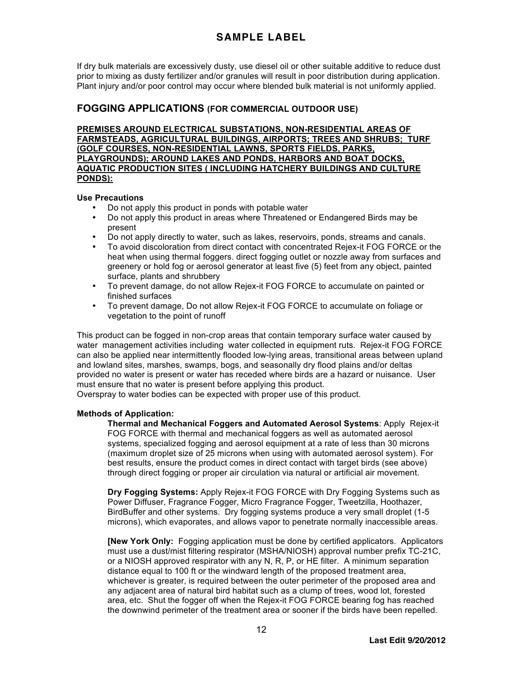If dry bulk materials are excessively dusty, use diesel oil or other suitable additive to reduce dust prior to mixing as dusty fertilizer and/or granules will result in poor distribution during application. Plant injury and/or poor control may occur where blended bulk material is not uniformly applied.

# **FOGGING APPLICATIONS (FOR COMMERCIAL OUTDOOR USE)**

**PREMISES AROUND ELECTRICAL SUBSTATIONS, NON-RESIDENTIAL AREAS OF FARMSTEADS, AGRICULTURAL BUILDINGS, AIRPORTS; TREES AND SHRUBS; TURF (GOLF COURSES, NON-RESIDENTIAL LAWNS, SPORTS FIELDS, PARKS, PLAYGROUNDS); AROUND LAKES AND PONDS, HARBORS AND BOAT DOCKS, AQUATIC PRODUCTION SITES ( INCLUDING HATCHERY BUILDINGS AND CULTURE PONDS):**

### **Use Precautions**

- Do not apply this product in ponds with potable water
- Do not apply this product in areas where Threatened or Endangered Birds may be present
- Do not apply directly to water, such as lakes, reservoirs, ponds, streams and canals.
- To avoid discoloration from direct contact with concentrated Rejex-it FOG FORCE or the heat when using thermal foggers. direct fogging outlet or nozzle away from surfaces and greenery or hold fog or aerosol generator at least five (5) feet from any object, painted surface, plants and shrubbery
- To prevent damage, do not allow Rejex-it FOG FORCE to accumulate on painted or finished surfaces
- To prevent damage, Do not allow Rejex-it FOG FORCE to accumulate on foliage or vegetation to the point of runoff

This product can be fogged in non-crop areas that contain temporary surface water caused by water management activities including water collected in equipment ruts. Rejex-it FOG FORCE can also be applied near intermittently flooded low-lying areas, transitional areas between upland and lowland sites, marshes, swamps, bogs, and seasonally dry flood plains and/or deltas provided no water is present or water has receded where birds are a hazard or nuisance. User must ensure that no water is present before applying this product.

Overspray to water bodies can be expected with proper use of this product.

## **Methods of Application:**

**Thermal and Mechanical Foggers and Automated Aerosol Systems**: Apply Rejex-it FOG FORCE with thermal and mechanical foggers as well as automated aerosol systems, specialized fogging and aerosol equipment at a rate of less than 30 microns (maximum droplet size of 25 microns when using with automated aerosol system). For best results, ensure the product comes in direct contact with target birds (see above) through direct fogging or proper air circulation via natural or artificial air movement.

**Dry Fogging Systems:** Apply Rejex-it FOG FORCE with Dry Fogging Systems such as Power Diffuser, Fragrance Fogger, Micro Fragrance Fogger, Tweetzilla, Hoothazer, BirdBuffer and other systems. Dry fogging systems produce a very small droplet (1-5 microns), which evaporates, and allows vapor to penetrate normally inaccessible areas.

**[New York Only:** Fogging application must be done by certified applicators. Applicators must use a dust/mist filtering respirator (MSHA/NIOSH) approval number prefix TC-21C, or a NIOSH approved respirator with any N, R, P, or HE filter. A minimum separation distance equal to 100 ft or the windward length of the proposed treatment area, whichever is greater, is required between the outer perimeter of the proposed area and any adjacent area of natural bird habitat such as a clump of trees, wood lot, forested area, etc. Shut the fogger off when the Rejex-it FOG FORCE bearing fog has reached the downwind perimeter of the treatment area or sooner if the birds have been repelled.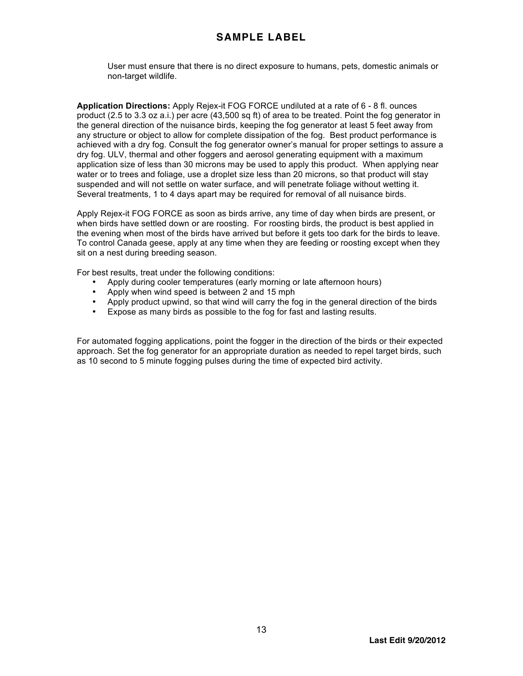User must ensure that there is no direct exposure to humans, pets, domestic animals or non-target wildlife.

**Application Directions:** Apply Rejex-it FOG FORCE undiluted at a rate of 6 - 8 fl. ounces product (2.5 to 3.3 oz a.i.) per acre (43,500 sq ft) of area to be treated. Point the fog generator in the general direction of the nuisance birds, keeping the fog generator at least 5 feet away from any structure or object to allow for complete dissipation of the fog. Best product performance is achieved with a dry fog. Consult the fog generator owner's manual for proper settings to assure a dry fog. ULV, thermal and other foggers and aerosol generating equipment with a maximum application size of less than 30 microns may be used to apply this product. When applying near water or to trees and foliage, use a droplet size less than 20 microns, so that product will stay suspended and will not settle on water surface, and will penetrate foliage without wetting it. Several treatments, 1 to 4 days apart may be required for removal of all nuisance birds.

Apply Rejex-it FOG FORCE as soon as birds arrive, any time of day when birds are present, or when birds have settled down or are roosting. For roosting birds, the product is best applied in the evening when most of the birds have arrived but before it gets too dark for the birds to leave. To control Canada geese, apply at any time when they are feeding or roosting except when they sit on a nest during breeding season.

For best results, treat under the following conditions:

- Apply during cooler temperatures (early morning or late afternoon hours)
- Apply when wind speed is between 2 and 15 mph
- Apply product upwind, so that wind will carry the fog in the general direction of the birds
- Expose as many birds as possible to the fog for fast and lasting results.

For automated fogging applications, point the fogger in the direction of the birds or their expected approach. Set the fog generator for an appropriate duration as needed to repel target birds, such as 10 second to 5 minute fogging pulses during the time of expected bird activity.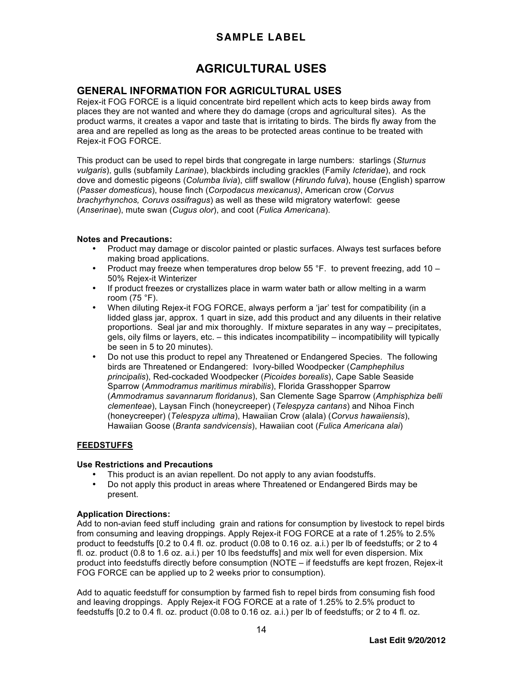# **AGRICULTURAL USES**

# **GENERAL INFORMATION FOR AGRICULTURAL USES**

Rejex-it FOG FORCE is a liquid concentrate bird repellent which acts to keep birds away from places they are not wanted and where they do damage (crops and agricultural sites). As the product warms, it creates a vapor and taste that is irritating to birds. The birds fly away from the area and are repelled as long as the areas to be protected areas continue to be treated with Rejex-it FOG FORCE.

This product can be used to repel birds that congregate in large numbers: starlings (*Sturnus vulgaris*), gulls (subfamily *Larinae*), blackbirds including grackles (Family *Icteridae*), and rock dove and domestic pigeons (*Columba livia*), cliff swallow (*Hirundo fulva*), house (English) sparrow (*Passer domesticus*), house finch (*Corpodacus mexicanus)*, American crow (*Corvus brachyrhynchos, Coruvs ossifragus*) as well as these wild migratory waterfowl: geese (*Anserinae*), mute swan (*Cugus olor*), and coot (*Fulica Americana*).

#### **Notes and Precautions:**

- Product may damage or discolor painted or plastic surfaces. Always test surfaces before making broad applications.
- Product may freeze when temperatures drop below 55 °F. to prevent freezing, add 10 50% Rejex-it Winterizer
- If product freezes or crystallizes place in warm water bath or allow melting in a warm room (75 °F).
- When diluting Rejex-it FOG FORCE, always perform a 'jar' test for compatibility (in a lidded glass jar, approx. 1 quart in size, add this product and any diluents in their relative proportions. Seal jar and mix thoroughly. If mixture separates in any way – precipitates, gels, oily films or layers, etc. – this indicates incompatibility – incompatibility will typically be seen in 5 to 20 minutes).
- Do not use this product to repel any Threatened or Endangered Species. The following birds are Threatened or Endangered: Ivory-billed Woodpecker (*Camphephilus principalis*), Red-cockaded Woodpecker (*Picoides borealis*), Cape Sable Seaside Sparrow (*Ammodramus maritimus mirabilis*), Florida Grasshopper Sparrow (*Ammodramus savannarum floridanus*), San Clemente Sage Sparrow (*Amphisphiza belli clementeae*), Laysan Finch (honeycreeper) (*Telespyza cantans*) and Nihoa Finch (honeycreeper) (*Telespyza ultima*), Hawaiian Crow (alala) (*Corvus hawaiiensis*), Hawaiian Goose (*Branta sandvicensis*), Hawaiian coot (*Fulica Americana alai*)

## **FEEDSTUFFS**

#### **Use Restrictions and Precautions**

- This product is an avian repellent. Do not apply to any avian foodstuffs.
- Do not apply this product in areas where Threatened or Endangered Birds may be present.

#### **Application Directions:**

Add to non-avian feed stuff including grain and rations for consumption by livestock to repel birds from consuming and leaving droppings. Apply Rejex-it FOG FORCE at a rate of 1.25% to 2.5% product to feedstuffs [0.2 to 0.4 fl. oz. product (0.08 to 0.16 oz. a.i.) per lb of feedstuffs; or 2 to 4 fl. oz. product (0.8 to 1.6 oz. a.i.) per 10 lbs feedstuffs] and mix well for even dispersion. Mix product into feedstuffs directly before consumption (NOTE – if feedstuffs are kept frozen, Rejex-it FOG FORCE can be applied up to 2 weeks prior to consumption).

Add to aquatic feedstuff for consumption by farmed fish to repel birds from consuming fish food and leaving droppings. Apply Rejex-it FOG FORCE at a rate of 1.25% to 2.5% product to feedstuffs [0.2 to 0.4 fl. oz. product (0.08 to 0.16 oz. a.i.) per lb of feedstuffs; or 2 to 4 fl. oz.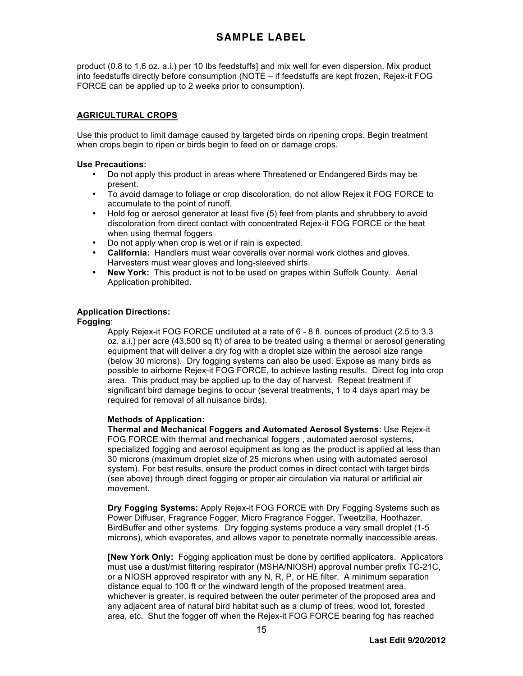product (0.8 to 1.6 oz. a.i.) per 10 lbs feedstuffs] and mix well for even dispersion. Mix product into feedstuffs directly before consumption (NOTE – if feedstuffs are kept frozen, Rejex-it FOG FORCE can be applied up to 2 weeks prior to consumption).

## **AGRICULTURAL CROPS**

Use this product to limit damage caused by targeted birds on ripening crops. Begin treatment when crops begin to ripen or birds begin to feed on or damage crops.

#### **Use Precautions:**

- Do not apply this product in areas where Threatened or Endangered Birds may be present.
- To avoid damage to foliage or crop discoloration, do not allow Rejex it FOG FORCE to accumulate to the point of runoff.
- Hold fog or aerosol generator at least five (5) feet from plants and shrubbery to avoid discoloration from direct contact with concentrated Rejex-it FOG FORCE or the heat when using thermal foggers
- Do not apply when crop is wet or if rain is expected.
- **California:** Handlers must wear coveralls over normal work clothes and gloves. Harvesters must wear gloves and long-sleeved shirts.
- **New York:** This product is not to be used on grapes within Suffolk County. Aerial Application prohibited.

## **Application Directions:**

#### **Fogging**:

Apply Rejex-it FOG FORCE undiluted at a rate of 6 - 8 fl. ounces of product (2.5 to 3.3 oz. a.i.) per acre (43,500 sq ft) of area to be treated using a thermal or aerosol generating equipment that will deliver a dry fog with a droplet size within the aerosol size range (below 30 microns). Dry fogging systems can also be used. Expose as many birds as possible to airborne Rejex-it FOG FORCE, to achieve lasting results. Direct fog into crop area. This product may be applied up to the day of harvest. Repeat treatment if significant bird damage begins to occur (several treatments, 1 to 4 days apart may be required for removal of all nuisance birds).

#### **Methods of Application:**

**Thermal and Mechanical Foggers and Automated Aerosol Systems**: Use Rejex-it FOG FORCE with thermal and mechanical foggers , automated aerosol systems, specialized fogging and aerosol equipment as long as the product is applied at less than 30 microns (maximum droplet size of 25 microns when using with automated aerosol system). For best results, ensure the product comes in direct contact with target birds (see above) through direct fogging or proper air circulation via natural or artificial air movement.

**Dry Fogging Systems:** Apply Rejex-it FOG FORCE with Dry Fogging Systems such as Power Diffuser, Fragrance Fogger, Micro Fragrance Fogger, Tweetzilla, Hoothazer, BirdBuffer and other systems. Dry fogging systems produce a very small droplet (1-5 microns), which evaporates, and allows vapor to penetrate normally inaccessible areas.

**[New York Only:** Fogging application must be done by certified applicators. Applicators must use a dust/mist filtering respirator (MSHA/NIOSH) approval number prefix TC-21C, or a NIOSH approved respirator with any N, R, P, or HE filter. A minimum separation distance equal to 100 ft or the windward length of the proposed treatment area, whichever is greater, is required between the outer perimeter of the proposed area and any adjacent area of natural bird habitat such as a clump of trees, wood lot, forested area, etc. Shut the fogger off when the Rejex-it FOG FORCE bearing fog has reached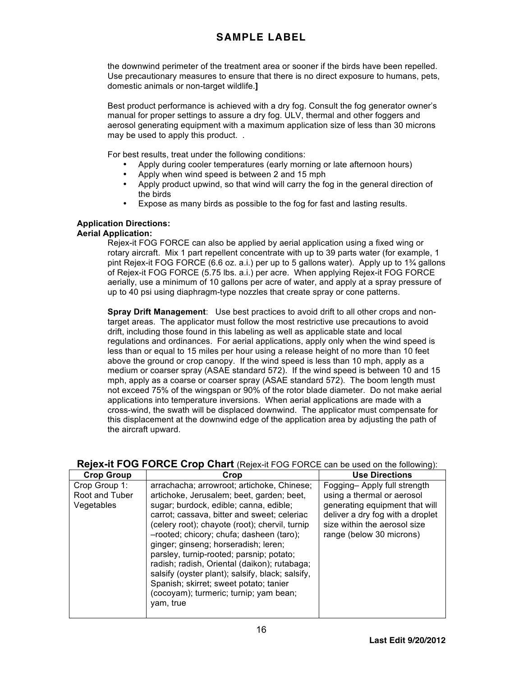the downwind perimeter of the treatment area or sooner if the birds have been repelled. Use precautionary measures to ensure that there is no direct exposure to humans, pets, domestic animals or non-target wildlife.**]**

Best product performance is achieved with a dry fog. Consult the fog generator owner's manual for proper settings to assure a dry fog. ULV, thermal and other foggers and aerosol generating equipment with a maximum application size of less than 30 microns may be used to apply this product. .

For best results, treat under the following conditions:

- Apply during cooler temperatures (early morning or late afternoon hours)
- Apply when wind speed is between 2 and 15 mph
- Apply product upwind, so that wind will carry the fog in the general direction of the birds
- Expose as many birds as possible to the fog for fast and lasting results.

## **Application Directions:**

### **Aerial Application:**

Rejex-it FOG FORCE can also be applied by aerial application using a fixed wing or rotary aircraft. Mix 1 part repellent concentrate with up to 39 parts water (for example, 1 pint Rejex-it FOG FORCE (6.6 oz. a.i.) per up to 5 gallons water). Apply up to 1¾ gallons of Rejex-it FOG FORCE (5.75 lbs. a.i.) per acre. When applying Rejex-it FOG FORCE aerially, use a minimum of 10 gallons per acre of water, and apply at a spray pressure of up to 40 psi using diaphragm-type nozzles that create spray or cone patterns.

**Spray Drift Management**: Use best practices to avoid drift to all other crops and nontarget areas. The applicator must follow the most restrictive use precautions to avoid drift, including those found in this labeling as well as applicable state and local regulations and ordinances. For aerial applications, apply only when the wind speed is less than or equal to 15 miles per hour using a release height of no more than 10 feet above the ground or crop canopy. If the wind speed is less than 10 mph, apply as a medium or coarser spray (ASAE standard 572). If the wind speed is between 10 and 15 mph, apply as a coarse or coarser spray (ASAE standard 572). The boom length must not exceed 75% of the wingspan or 90% of the rotor blade diameter. Do not make aerial applications into temperature inversions. When aerial applications are made with a cross-wind, the swath will be displaced downwind. The applicator must compensate for this displacement at the downwind edge of the application area by adjusting the path of the aircraft upward.

## **Rejex-it FOG FORCE Crop Chart** (Rejex-it FOG FORCE can be used on the following):

| <b>Crop Group</b>                             | Crop                                                                                                                                                                                                                                                                                                                                                                                                                                                                                                                                                                    | <b>Use Directions</b>                                                                                                                                                                       |
|-----------------------------------------------|-------------------------------------------------------------------------------------------------------------------------------------------------------------------------------------------------------------------------------------------------------------------------------------------------------------------------------------------------------------------------------------------------------------------------------------------------------------------------------------------------------------------------------------------------------------------------|---------------------------------------------------------------------------------------------------------------------------------------------------------------------------------------------|
| Crop Group 1:<br>Root and Tuber<br>Vegetables | arrachacha; arrowroot; artichoke, Chinese;<br>artichoke, Jerusalem; beet, garden; beet,<br>sugar; burdock, edible; canna, edible;<br>carrot; cassava, bitter and sweet; celeriac<br>(celery root); chayote (root); chervil, turnip<br>-rooted; chicory; chufa; dasheen (taro);<br>ginger; ginseng; horseradish; leren;<br>parsley, turnip-rooted; parsnip; potato;<br>radish; radish, Oriental (daikon); rutabaga;<br>salsify (oyster plant); salsify, black; salsify,<br>Spanish; skirret; sweet potato; tanier<br>(cocoyam); turmeric; turnip; yam bean;<br>yam, true | Fogging-Apply full strength<br>using a thermal or aerosol<br>generating equipment that will<br>deliver a dry fog with a droplet<br>size within the aerosol size<br>range (below 30 microns) |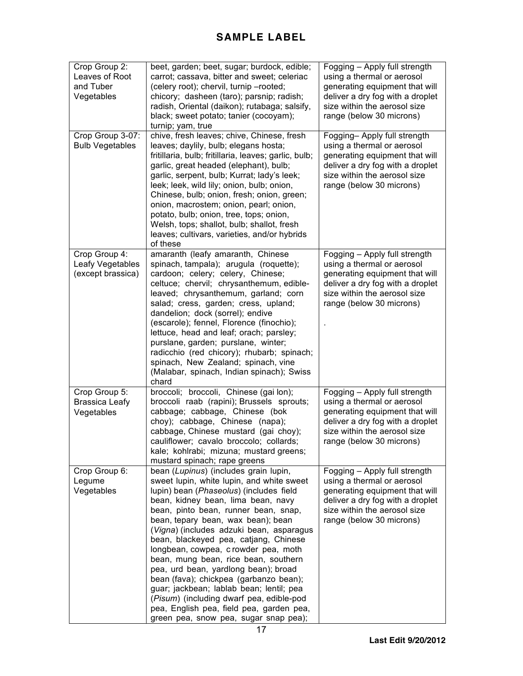| Crop Group 2:<br>Leaves of Root<br>and Tuber<br>Vegetables | beet, garden; beet, sugar; burdock, edible;<br>carrot; cassava, bitter and sweet; celeriac<br>(celery root); chervil, turnip -rooted;<br>chicory; dasheen (taro); parsnip; radish;<br>radish, Oriental (daikon); rutabaga; salsify,<br>black; sweet potato; tanier (cocoyam);<br>turnip; yam, true                                                                                                                                                                                                                                                                                                                                                                                   | Fogging - Apply full strength<br>using a thermal or aerosol<br>generating equipment that will<br>deliver a dry fog with a droplet<br>size within the aerosol size<br>range (below 30 microns) |
|------------------------------------------------------------|--------------------------------------------------------------------------------------------------------------------------------------------------------------------------------------------------------------------------------------------------------------------------------------------------------------------------------------------------------------------------------------------------------------------------------------------------------------------------------------------------------------------------------------------------------------------------------------------------------------------------------------------------------------------------------------|-----------------------------------------------------------------------------------------------------------------------------------------------------------------------------------------------|
| Crop Group 3-07:<br><b>Bulb Vegetables</b>                 | chive, fresh leaves; chive, Chinese, fresh<br>leaves; daylily, bulb; elegans hosta;<br>fritillaria, bulb; fritillaria, leaves; garlic, bulb;<br>garlic, great headed (elephant), bulb;<br>garlic, serpent, bulb; Kurrat; lady's leek;<br>leek; leek, wild lily; onion, bulb; onion,<br>Chinese, bulb; onion, fresh; onion, green;<br>onion, macrostem; onion, pearl; onion,<br>potato, bulb; onion, tree, tops; onion,<br>Welsh, tops; shallot, bulb; shallot, fresh<br>leaves; cultivars, varieties, and/or hybrids<br>of these                                                                                                                                                     | Fogging-Apply full strength<br>using a thermal or aerosol<br>generating equipment that will<br>deliver a dry fog with a droplet<br>size within the aerosol size<br>range (below 30 microns)   |
| Crop Group 4:<br>Leafy Vegetables<br>(except brassica)     | amaranth (leafy amaranth, Chinese<br>spinach, tampala); arugula (roquette);<br>cardoon; celery; celery, Chinese;<br>celtuce; chervil; chrysanthemum, edible-<br>leaved; chrysanthemum, garland; corn<br>salad; cress, garden; cress, upland;<br>dandelion; dock (sorrel); endive<br>(escarole); fennel, Florence (finochio);<br>lettuce, head and leaf; orach; parsley;<br>purslane, garden; purslane, winter;<br>radicchio (red chicory); rhubarb; spinach;<br>spinach, New Zealand; spinach, vine<br>(Malabar, spinach, Indian spinach); Swiss<br>chard                                                                                                                            | Fogging - Apply full strength<br>using a thermal or aerosol<br>generating equipment that will<br>deliver a dry fog with a droplet<br>size within the aerosol size<br>range (below 30 microns) |
| Crop Group 5:<br><b>Brassica Leafy</b><br>Vegetables       | broccoli; broccoli, Chinese (gai lon);<br>broccoli raab (rapini); Brussels sprouts;<br>cabbage; cabbage, Chinese (bok<br>choy); cabbage, Chinese (napa);<br>cabbage, Chinese mustard (gai choy);<br>cauliflower; cavalo broccolo; collards;<br>kale; kohlrabi; mizuna; mustard greens;<br>mustard spinach; rape greens                                                                                                                                                                                                                                                                                                                                                               | Fogging - Apply full strength<br>using a thermal or aerosol<br>generating equipment that will<br>deliver a dry fog with a droplet<br>size within the aerosol size<br>range (below 30 microns) |
| Crop Group 6:<br>Legume<br>Vegetables                      | bean (Lupinus) (includes grain lupin,<br>sweet lupin, white lupin, and white sweet<br>lupin) bean (Phaseolus) (includes field<br>bean, kidney bean, lima bean, navy<br>bean, pinto bean, runner bean, snap,<br>bean, tepary bean, wax bean); bean<br>(Vigna) (includes adzuki bean, asparagus<br>bean, blackeyed pea, catjang, Chinese<br>longbean, cowpea, crowder pea, moth<br>bean, mung bean, rice bean, southern<br>pea, urd bean, yardlong bean); broad<br>bean (fava); chickpea (garbanzo bean);<br>guar; jackbean; lablab bean; lentil; pea<br>(Pisum) (including dwarf pea, edible-pod<br>pea, English pea, field pea, garden pea,<br>green pea, snow pea, sugar snap pea); | Fogging - Apply full strength<br>using a thermal or aerosol<br>generating equipment that will<br>deliver a dry fog with a droplet<br>size within the aerosol size<br>range (below 30 microns) |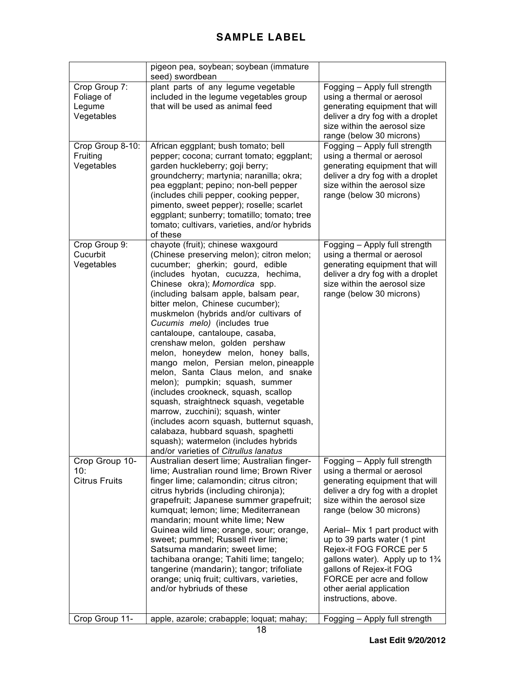|                                                     | pigeon pea, soybean; soybean (immature<br>seed) swordbean                                                                                                                                                                                                                                                                                                                                                                                                                                                                                                                                                                                                                                                                                                                                                                                                                     |                                                                                                                                                                                                                                                                                                                                                                                                                                                        |
|-----------------------------------------------------|-------------------------------------------------------------------------------------------------------------------------------------------------------------------------------------------------------------------------------------------------------------------------------------------------------------------------------------------------------------------------------------------------------------------------------------------------------------------------------------------------------------------------------------------------------------------------------------------------------------------------------------------------------------------------------------------------------------------------------------------------------------------------------------------------------------------------------------------------------------------------------|--------------------------------------------------------------------------------------------------------------------------------------------------------------------------------------------------------------------------------------------------------------------------------------------------------------------------------------------------------------------------------------------------------------------------------------------------------|
| Crop Group 7:<br>Foliage of<br>Legume<br>Vegetables | plant parts of any legume vegetable<br>included in the legume vegetables group<br>that will be used as animal feed                                                                                                                                                                                                                                                                                                                                                                                                                                                                                                                                                                                                                                                                                                                                                            | Fogging - Apply full strength<br>using a thermal or aerosol<br>generating equipment that will<br>deliver a dry fog with a droplet<br>size within the aerosol size<br>range (below 30 microns)                                                                                                                                                                                                                                                          |
| Crop Group 8-10:<br>Fruiting<br>Vegetables          | African eggplant; bush tomato; bell<br>pepper; cocona; currant tomato; eggplant;<br>garden huckleberry; goji berry;<br>groundcherry; martynia; naranilla; okra;<br>pea eggplant; pepino; non-bell pepper<br>(includes chili pepper, cooking pepper,<br>pimento, sweet pepper); roselle; scarlet<br>eggplant; sunberry; tomatillo; tomato; tree<br>tomato; cultivars, varieties, and/or hybrids<br>of these                                                                                                                                                                                                                                                                                                                                                                                                                                                                    | Fogging - Apply full strength<br>using a thermal or aerosol<br>generating equipment that will<br>deliver a dry fog with a droplet<br>size within the aerosol size<br>range (below 30 microns)                                                                                                                                                                                                                                                          |
| Crop Group 9:<br>Cucurbit<br>Vegetables             | chayote (fruit); chinese waxgourd<br>(Chinese preserving melon); citron melon;<br>cucumber; gherkin; gourd, edible<br>(includes hyotan, cucuzza, hechima,<br>Chinese okra); Momordica spp.<br>(including balsam apple, balsam pear,<br>bitter melon, Chinese cucumber);<br>muskmelon (hybrids and/or cultivars of<br>Cucumis melo) (includes true<br>cantaloupe, cantaloupe, casaba,<br>crenshaw melon, golden pershaw<br>melon, honeydew melon, honey balls,<br>mango melon, Persian melon, pineapple<br>melon, Santa Claus melon, and snake<br>melon); pumpkin; squash, summer<br>(includes crookneck, squash, scallop<br>squash, straightneck squash, vegetable<br>marrow, zucchini); squash, winter<br>(includes acorn squash, butternut squash,<br>calabaza, hubbard squash, spaghetti<br>squash); watermelon (includes hybrids<br>and/or varieties of Citrullus lanatus | Fogging - Apply full strength<br>using a thermal or aerosol<br>generating equipment that will<br>deliver a dry fog with a droplet<br>size within the aerosol size<br>range (below 30 microns)                                                                                                                                                                                                                                                          |
| Crop Group 10-<br>10:<br><b>Citrus Fruits</b>       | Australian desert lime; Australian finger-<br>lime; Australian round lime; Brown River<br>finger lime; calamondin; citrus citron;<br>citrus hybrids (including chironja);<br>grapefruit; Japanese summer grapefruit;<br>kumquat; lemon; lime; Mediterranean<br>mandarin; mount white lime; New<br>Guinea wild lime; orange, sour; orange,<br>sweet; pummel; Russell river lime;<br>Satsuma mandarin; sweet lime;<br>tachibana orange; Tahiti lime; tangelo;<br>tangerine (mandarin); tangor; trifoliate<br>orange; uniq fruit; cultivars, varieties,<br>and/or hybriuds of these                                                                                                                                                                                                                                                                                              | Fogging - Apply full strength<br>using a thermal or aerosol<br>generating equipment that will<br>deliver a dry fog with a droplet<br>size within the aerosol size<br>range (below 30 microns)<br>Aerial- Mix 1 part product with<br>up to 39 parts water (1 pint<br>Rejex-it FOG FORCE per 5<br>gallons water). Apply up to $1\frac{3}{4}$<br>gallons of Rejex-it FOG<br>FORCE per acre and follow<br>other aerial application<br>instructions, above. |
| Crop Group 11-                                      | apple, azarole; crabapple; loquat; mahay;                                                                                                                                                                                                                                                                                                                                                                                                                                                                                                                                                                                                                                                                                                                                                                                                                                     | Fogging - Apply full strength                                                                                                                                                                                                                                                                                                                                                                                                                          |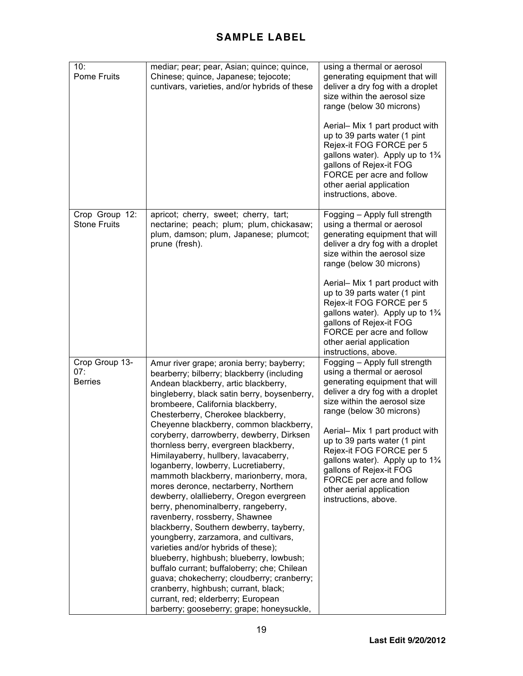| 10:<br><b>Pome Fruits</b>               | mediar; pear; pear, Asian; quince; quince,<br>Chinese; quince, Japanese; tejocote;<br>cuntivars, varieties, and/or hybrids of these                                                                                                                                                                                                                                                                                                                                                                                                                                                                                                                                                                                                                                                                                                                                                                                                                                                                                                                                                  | using a thermal or aerosol<br>generating equipment that will<br>deliver a dry fog with a droplet<br>size within the aerosol size<br>range (below 30 microns)<br>Aerial- Mix 1 part product with<br>up to 39 parts water (1 pint<br>Rejex-it FOG FORCE per 5<br>gallons water). Apply up to 1%<br>gallons of Rejex-it FOG<br>FORCE per acre and follow<br>other aerial application<br>instructions, above.                                              |
|-----------------------------------------|--------------------------------------------------------------------------------------------------------------------------------------------------------------------------------------------------------------------------------------------------------------------------------------------------------------------------------------------------------------------------------------------------------------------------------------------------------------------------------------------------------------------------------------------------------------------------------------------------------------------------------------------------------------------------------------------------------------------------------------------------------------------------------------------------------------------------------------------------------------------------------------------------------------------------------------------------------------------------------------------------------------------------------------------------------------------------------------|--------------------------------------------------------------------------------------------------------------------------------------------------------------------------------------------------------------------------------------------------------------------------------------------------------------------------------------------------------------------------------------------------------------------------------------------------------|
| Crop Group 12:<br><b>Stone Fruits</b>   | apricot; cherry, sweet; cherry, tart;<br>nectarine; peach; plum; plum, chickasaw;<br>plum, damson; plum, Japanese; plumcot;<br>prune (fresh).                                                                                                                                                                                                                                                                                                                                                                                                                                                                                                                                                                                                                                                                                                                                                                                                                                                                                                                                        | Fogging - Apply full strength<br>using a thermal or aerosol<br>generating equipment that will<br>deliver a dry fog with a droplet<br>size within the aerosol size<br>range (below 30 microns)<br>Aerial- Mix 1 part product with<br>up to 39 parts water (1 pint<br>Rejex-it FOG FORCE per 5<br>gallons water). Apply up to $1\frac{3}{4}$<br>gallons of Rejex-it FOG<br>FORCE per acre and follow<br>other aerial application<br>instructions, above. |
| Crop Group 13-<br>07:<br><b>Berries</b> | Amur river grape; aronia berry; bayberry;<br>bearberry; bilberry; blackberry (including<br>Andean blackberry, artic blackberry,<br>bingleberry, black satin berry, boysenberry,<br>brombeere, California blackberry,<br>Chesterberry, Cherokee blackberry,<br>Cheyenne blackberry, common blackberry,<br>coryberry, darrowberry, dewberry, Dirksen<br>thornless berry, evergreen blackberry,<br>Himilayaberry, hullbery, lavacaberry,<br>loganberry, lowberry, Lucretiaberry,<br>mammoth blackberry, marionberry, mora,<br>mores deronce, nectarberry, Northern<br>dewberry, olallieberry, Oregon evergreen<br>berry, phenominalberry, rangeberry,<br>ravenberry, rossberry, Shawnee<br>blackberry, Southern dewberry, tayberry,<br>youngberry, zarzamora, and cultivars,<br>varieties and/or hybrids of these);<br>blueberry, highbush; blueberry, lowbush;<br>buffalo currant; buffaloberry; che; Chilean<br>guava; chokecherry; cloudberry; cranberry;<br>cranberry, highbush; currant, black;<br>currant, red; elderberry; European<br>barberry; gooseberry; grape; honeysuckle, | Fogging - Apply full strength<br>using a thermal or aerosol<br>generating equipment that will<br>deliver a dry fog with a droplet<br>size within the aerosol size<br>range (below 30 microns)<br>Aerial- Mix 1 part product with<br>up to 39 parts water (1 pint<br>Rejex-it FOG FORCE per 5<br>gallons water). Apply up to 1%<br>gallons of Rejex-it FOG<br>FORCE per acre and follow<br>other aerial application<br>instructions, above.             |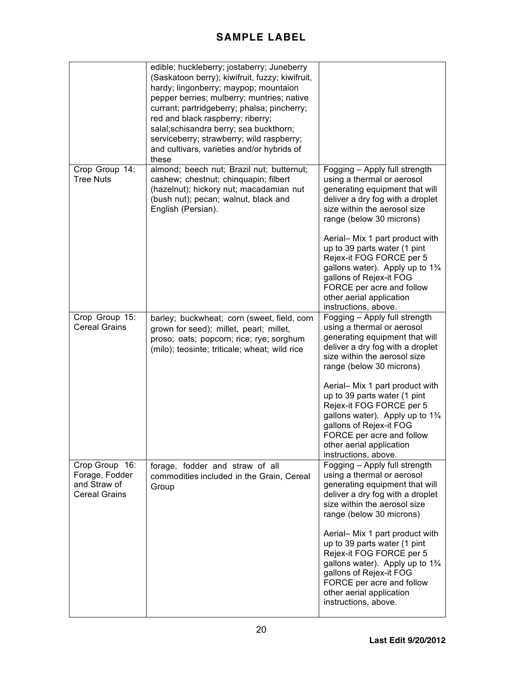|                                                                          | edible; huckleberry; jostaberry; Juneberry<br>(Saskatoon berry); kiwifruit, fuzzy; kiwifruit,<br>hardy; lingonberry; maypop; mountaion<br>pepper berries; mulberry; muntries; native<br>currant; partridgeberry; phalsa; pincherry;<br>red and black raspberry; riberry;<br>salal; schisandra berry; sea buckthorn;<br>serviceberry; strawberry; wild raspberry;<br>and cultivars, varieties and/or hybrids of<br>these |                                                                                                                                                                                                                                                                                                                                                                                                                                                        |
|--------------------------------------------------------------------------|-------------------------------------------------------------------------------------------------------------------------------------------------------------------------------------------------------------------------------------------------------------------------------------------------------------------------------------------------------------------------------------------------------------------------|--------------------------------------------------------------------------------------------------------------------------------------------------------------------------------------------------------------------------------------------------------------------------------------------------------------------------------------------------------------------------------------------------------------------------------------------------------|
| Crop Group 14:<br><b>Tree Nuts</b>                                       | almond; beech nut; Brazil nut; butternut;<br>cashew; chestnut; chinquapin; filbert<br>(hazelnut); hickory nut; macadamian nut<br>(bush nut); pecan; walnut, black and<br>English (Persian).                                                                                                                                                                                                                             | Fogging - Apply full strength<br>using a thermal or aerosol<br>generating equipment that will<br>deliver a dry fog with a droplet<br>size within the aerosol size<br>range (below 30 microns)<br>Aerial- Mix 1 part product with<br>up to 39 parts water (1 pint<br>Rejex-it FOG FORCE per 5<br>gallons water). Apply up to $1\frac{3}{4}$<br>gallons of Rejex-it FOG<br>FORCE per acre and follow<br>other aerial application<br>instructions, above. |
| Crop Group 15:<br><b>Cereal Grains</b>                                   | barley; buckwheat; corn (sweet, field, corn<br>grown for seed); millet, pearl; millet,<br>proso; oats; popcorn; rice; rye; sorghum<br>(milo); teosinte; triticale; wheat; wild rice                                                                                                                                                                                                                                     | Fogging - Apply full strength<br>using a thermal or aerosol<br>generating equipment that will<br>deliver a dry fog with a droplet<br>size within the aerosol size<br>range (below 30 microns)<br>Aerial- Mix 1 part product with<br>up to 39 parts water (1 pint<br>Rejex-it FOG FORCE per 5<br>gallons water). Apply up to $1\frac{3}{4}$<br>gallons of Rejex-it FOG<br>FORCE per acre and follow<br>other aerial application<br>instructions, above. |
| Crop Group 16:<br>Forage, Fodder<br>and Straw of<br><b>Cereal Grains</b> | forage, fodder and straw of all<br>commodities included in the Grain, Cereal<br>Group                                                                                                                                                                                                                                                                                                                                   | Fogging - Apply full strength<br>using a thermal or aerosol<br>generating equipment that will<br>deliver a dry fog with a droplet<br>size within the aerosol size<br>range (below 30 microns)<br>Aerial- Mix 1 part product with<br>up to 39 parts water (1 pint<br>Rejex-it FOG FORCE per 5<br>gallons water). Apply up to 1%<br>gallons of Rejex-it FOG<br>FORCE per acre and follow<br>other aerial application<br>instructions, above.             |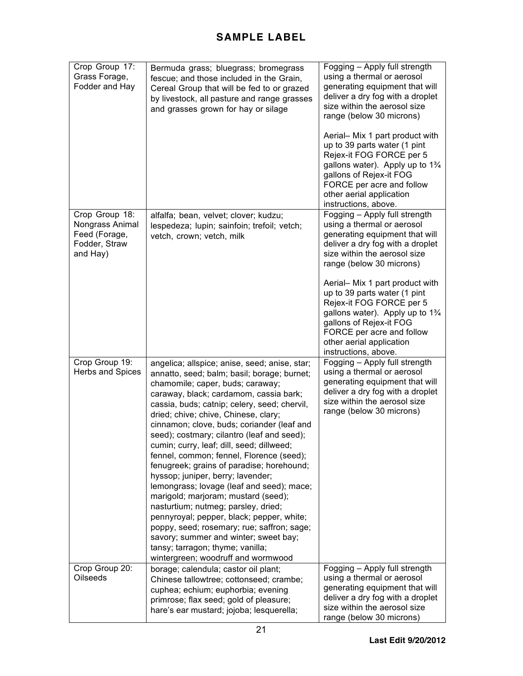| Crop Group 17:<br>Grass Forage,<br>Fodder and Hay                               | Bermuda grass; bluegrass; bromegrass<br>fescue; and those included in the Grain,<br>Cereal Group that will be fed to or grazed<br>by livestock, all pasture and range grasses<br>and grasses grown for hay or silage                                                                                                                                                                                                                                                                                                                                                                                                                                                                                                                                                                                                                                                               | Fogging - Apply full strength<br>using a thermal or aerosol<br>generating equipment that will<br>deliver a dry fog with a droplet<br>size within the aerosol size<br>range (below 30 microns)<br>Aerial- Mix 1 part product with<br>up to 39 parts water (1 pint<br>Rejex-it FOG FORCE per 5<br>gallons water). Apply up to $1\frac{3}{4}$<br>gallons of Rejex-it FOG |
|---------------------------------------------------------------------------------|------------------------------------------------------------------------------------------------------------------------------------------------------------------------------------------------------------------------------------------------------------------------------------------------------------------------------------------------------------------------------------------------------------------------------------------------------------------------------------------------------------------------------------------------------------------------------------------------------------------------------------------------------------------------------------------------------------------------------------------------------------------------------------------------------------------------------------------------------------------------------------|-----------------------------------------------------------------------------------------------------------------------------------------------------------------------------------------------------------------------------------------------------------------------------------------------------------------------------------------------------------------------|
|                                                                                 |                                                                                                                                                                                                                                                                                                                                                                                                                                                                                                                                                                                                                                                                                                                                                                                                                                                                                    | FORCE per acre and follow<br>other aerial application<br>instructions, above.                                                                                                                                                                                                                                                                                         |
| Crop Group 18:<br>Nongrass Animal<br>Feed (Forage,<br>Fodder, Straw<br>and Hay) | alfalfa; bean, velvet; clover; kudzu;<br>lespedeza; lupin; sainfoin; trefoil; vetch;<br>vetch, crown; vetch, milk                                                                                                                                                                                                                                                                                                                                                                                                                                                                                                                                                                                                                                                                                                                                                                  | Fogging - Apply full strength<br>using a thermal or aerosol<br>generating equipment that will<br>deliver a dry fog with a droplet<br>size within the aerosol size<br>range (below 30 microns)                                                                                                                                                                         |
|                                                                                 |                                                                                                                                                                                                                                                                                                                                                                                                                                                                                                                                                                                                                                                                                                                                                                                                                                                                                    | Aerial- Mix 1 part product with<br>up to 39 parts water (1 pint<br>Rejex-it FOG FORCE per 5<br>gallons water). Apply up to $1\frac{3}{4}$<br>gallons of Rejex-it FOG<br>FORCE per acre and follow<br>other aerial application<br>instructions, above.                                                                                                                 |
| Crop Group 19:<br>Herbs and Spices                                              | angelica; allspice; anise, seed; anise, star;<br>annatto, seed; balm; basil; borage; burnet;<br>chamomile; caper, buds; caraway;<br>caraway, black; cardamom, cassia bark;<br>cassia, buds; catnip; celery, seed; chervil,<br>dried; chive; chive, Chinese, clary;<br>cinnamon; clove, buds; coriander (leaf and<br>seed); costmary; cilantro (leaf and seed);<br>cumin; curry, leaf; dill, seed; dillweed;<br>fennel, common; fennel, Florence (seed);<br>fenugreek; grains of paradise; horehound;<br>hyssop; juniper, berry; lavender;<br>lemongrass; lovage (leaf and seed); mace;<br>marigold; marjoram; mustard (seed);<br>nasturtium; nutmeg; parsley, dried;<br>pennyroyal; pepper, black; pepper, white;<br>poppy, seed; rosemary; rue; saffron; sage;<br>savory; summer and winter; sweet bay;<br>tansy; tarragon; thyme; vanilla;<br>wintergreen; woodruff and wormwood | Fogging - Apply full strength<br>using a thermal or aerosol<br>generating equipment that will<br>deliver a dry fog with a droplet<br>size within the aerosol size<br>range (below 30 microns)                                                                                                                                                                         |
| Crop Group 20:<br>Oilseeds                                                      | borage; calendula; castor oil plant;<br>Chinese tallowtree; cottonseed; crambe;<br>cuphea; echium; euphorbia; evening<br>primrose; flax seed; gold of pleasure;<br>hare's ear mustard; jojoba; lesquerella;                                                                                                                                                                                                                                                                                                                                                                                                                                                                                                                                                                                                                                                                        | Fogging - Apply full strength<br>using a thermal or aerosol<br>generating equipment that will<br>deliver a dry fog with a droplet<br>size within the aerosol size<br>range (below 30 microns)                                                                                                                                                                         |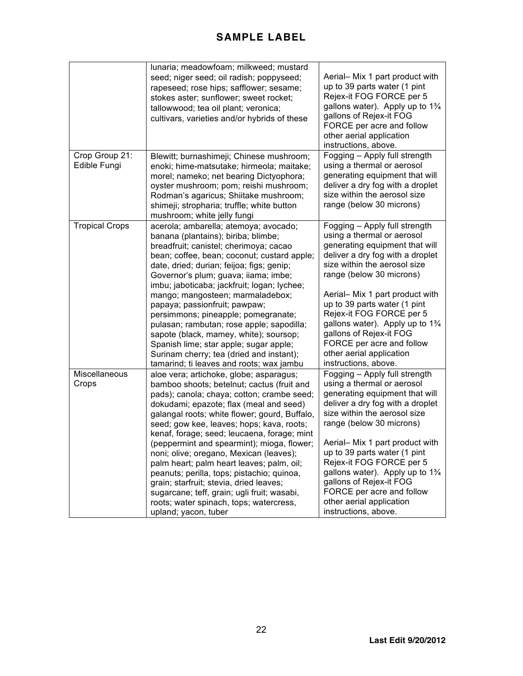|                                | lunaria; meadowfoam; milkweed; mustard<br>seed; niger seed; oil radish; poppyseed;<br>rapeseed; rose hips; safflower; sesame;<br>stokes aster; sunflower; sweet rocket;<br>tallowwood; tea oil plant; veronica;<br>cultivars, varieties and/or hybrids of these                                                                                                                                                                                                                                                                                                                                                                                                              | Aerial- Mix 1 part product with<br>up to 39 parts water (1 pint<br>Rejex-it FOG FORCE per 5<br>gallons water). Apply up to 1%<br>gallons of Rejex-it FOG<br>FORCE per acre and follow<br>other aerial application<br>instructions, above.                                                                                                                                                                                                              |
|--------------------------------|------------------------------------------------------------------------------------------------------------------------------------------------------------------------------------------------------------------------------------------------------------------------------------------------------------------------------------------------------------------------------------------------------------------------------------------------------------------------------------------------------------------------------------------------------------------------------------------------------------------------------------------------------------------------------|--------------------------------------------------------------------------------------------------------------------------------------------------------------------------------------------------------------------------------------------------------------------------------------------------------------------------------------------------------------------------------------------------------------------------------------------------------|
| Crop Group 21:<br>Edible Fungi | Blewitt; burnashimeji; Chinese mushroom;<br>enoki; hime-matsutake; hirmeola; maitake;<br>morel; nameko; net bearing Dictyophora;<br>oyster mushroom; pom; reishi mushroom;<br>Rodman's agaricus; Shiitake mushroom;<br>shimeji; stropharia; truffle; white button<br>mushroom; white jelly fungi                                                                                                                                                                                                                                                                                                                                                                             | Fogging - Apply full strength<br>using a thermal or aerosol<br>generating equipment that will<br>deliver a dry fog with a droplet<br>size within the aerosol size<br>range (below 30 microns)                                                                                                                                                                                                                                                          |
| <b>Tropical Crops</b>          | acerola; ambarella; atemoya; avocado;<br>banana (plantains); biriba; blimbe;<br>breadfruit; canistel; cherimoya; cacao<br>bean; coffee, bean; coconut; custard apple;<br>date, dried; durian; feijoa; figs; genip;<br>Governor's plum; guava; iiama; imbe;<br>imbu; jaboticaba; jackfruit; logan; lychee;<br>mango; mangosteen; marmaladebox;<br>papaya; passionfruit; pawpaw;<br>persimmons; pineapple; pomegranate;<br>pulasan; rambutan; rose apple; sapodilla;<br>sapote (black, mamey, white); soursop;<br>Spanish lime; star apple; sugar apple;<br>Surinam cherry; tea (dried and instant);<br>tamarind; ti leaves and roots; wax jambu                               | Fogging - Apply full strength<br>using a thermal or aerosol<br>generating equipment that will<br>deliver a dry fog with a droplet<br>size within the aerosol size<br>range (below 30 microns)<br>Aerial- Mix 1 part product with<br>up to 39 parts water (1 pint<br>Rejex-it FOG FORCE per 5<br>gallons water). Apply up to $1\frac{3}{4}$<br>gallons of Rejex-it FOG<br>FORCE per acre and follow<br>other aerial application<br>instructions, above. |
| Miscellaneous<br>Crops         | aloe vera; artichoke, globe; asparagus;<br>bamboo shoots; betelnut; cactus (fruit and<br>pads); canola; chaya; cotton; crambe seed;<br>dokudami; epazote; flax (meal and seed)<br>galangal roots; white flower; gourd, Buffalo,<br>seed; gow kee, leaves; hops; kava, roots;<br>kenaf, forage; seed; leucaena, forage; mint<br>(peppermint and spearmint); mioga, flower;<br>noni; olive; oregano, Mexican (leaves);<br>palm heart; palm heart leaves; palm, oil;<br>peanuts; perilla, tops; pistachio; quinoa,<br>grain; starfruit; stevia, dried leaves;<br>sugarcane; teff, grain; ugli fruit; wasabi,<br>roots; water spinach, tops; watercress,<br>upland; yacon, tuber | Fogging - Apply full strength<br>using a thermal or aerosol<br>generating equipment that will<br>deliver a dry fog with a droplet<br>size within the aerosol size<br>range (below 30 microns)<br>Aerial- Mix 1 part product with<br>up to 39 parts water (1 pint<br>Rejex-it FOG FORCE per 5<br>gallons water). Apply up to 1%<br>gallons of Rejex-it FOG<br>FORCE per acre and follow<br>other aerial application<br>instructions, above.             |